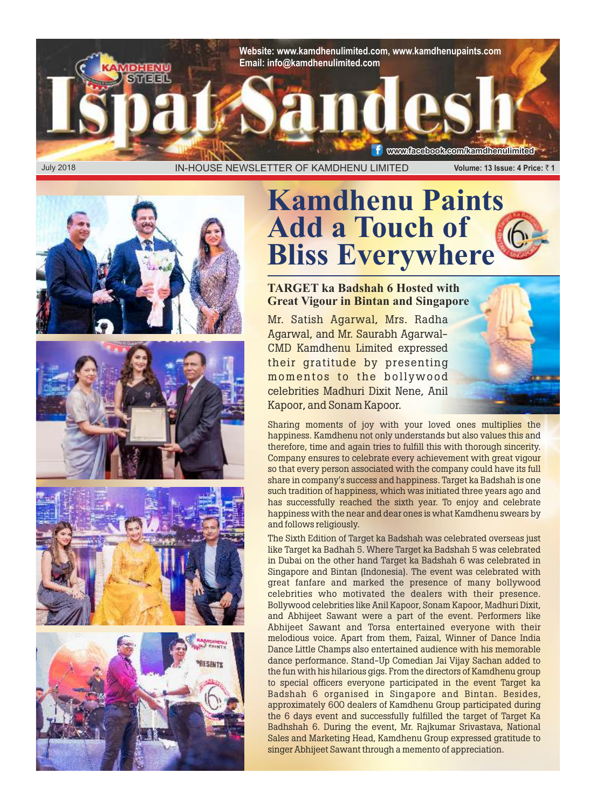

# **Kamdhenu Paints Add a Touch of Bliss Everywhere**

#### **TARGET ka Badshah 6 Hosted with Great Vigour in Bintan and Singapore**

Mr. Satish Agarwal, Mrs. Radha Agarwal, and Mr. Saurabh Agarwal-CMD Kamdhenu Limited expressed their gratitude by presenting momentos to the bollywood celebrities Madhuri Dixit Nene, Anil Kapoor, and Sonam Kapoor.



The Sixth Edition of Target ka Badshah was celebrated overseas just like Target ka Badhah 5. Where Target ka Badshah 5 was celebrated in Dubai on the other hand Target ka Badshah 6 was celebrated in Singapore and Bintan (Indonesia). The event was celebrated with great fanfare and marked the presence of many bollywood celebrities who motivated the dealers with their presence. Bollywood celebrities like Anil Kapoor, Sonam Kapoor, Madhuri Dixit, and Abhijeet Sawant were a part of the event. Performers like Abhijeet Sawant and Torsa entertained everyone with their melodious voice. Apart from them, Faizal, Winner of Dance India Dance Little Champs also entertained audience with his memorable dance performance. Stand-Up Comedian Jai Vijay Sachan added to the fun with his hilarious gigs. From the directors of Kamdhenu group to special officers everyone participated in the event Target ka Badshah 6 organised in Singapore and Bintan. Besides, approximately 600 dealers of Kamdhenu Group participated during the 6 days event and successfully fulfilled the target of Target Ka Badhshah 6. During the event, Mr. Rajkumar Srivastava, National Sales and Marketing Head, Kamdhenu Group expressed gratitude to singer Abhijeet Sawant through a memento of appreciation.







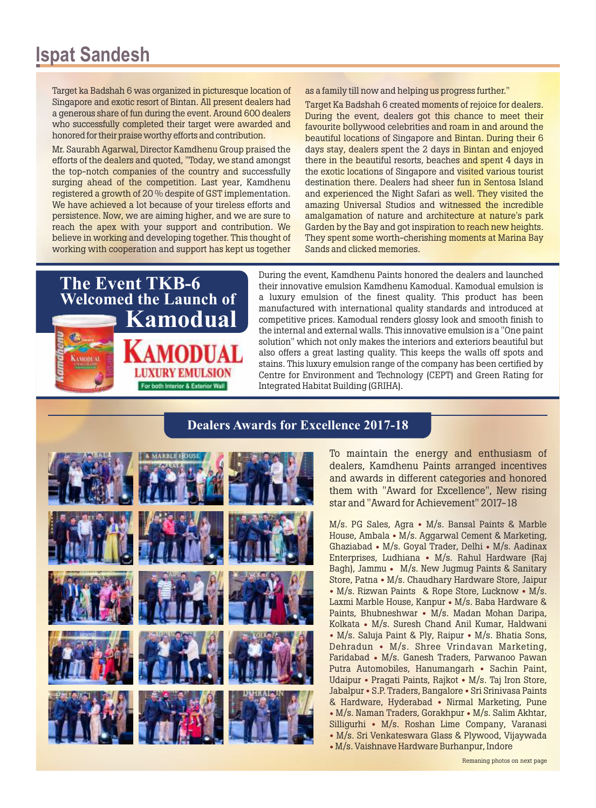Target ka Badshah 6 was organized in picturesque location of Singapore and exotic resort of Bintan. All present dealers had a generous share of fun during the event. Around 600 dealers who successfully completed their target were awarded and honored for their praise worthy efforts and contribution.

Mr. Saurabh Agarwal, Director Kamdhenu Group praised the efforts of the dealers and quoted, "Today, we stand amongst the top-notch companies of the country and successfully surging ahead of the competition. Last year, Kamdhenu registered a growth of 20 % despite of GST implementation. We have achieved a lot because of your tireless efforts and persistence. Now, we are aiming higher, and we are sure to reach the apex with your support and contribution. We believe in working and developing together. This thought of working with cooperation and support has kept us together as a family till now and helping us progress further."

Target Ka Badshah 6 created moments of rejoice for dealers. During the event, dealers got this chance to meet their favourite bollywood celebrities and roam in and around the beautiful locations of Singapore and Bintan. During their 6 days stay, dealers spent the 2 days in Bintan and enjoyed there in the beautiful resorts, beaches and spent 4 days in the exotic locations of Singapore and visited various tourist destination there. Dealers had sheer fun in Sentosa Island and experienced the Night Safari as well. They visited the amazing Universal Studios and witnessed the incredible amalgamation of nature and architecture at nature's park Garden by the Bay and got inspiration to reach new heights. They spent some worth-cherishing moments at Marina Bay Sands and clicked memories.



During the event, Kamdhenu Paints honored the dealers and launched their innovative emulsion Kamdhenu Kamodual. Kamodual emulsion is a luxury emulsion of the finest quality. This product has been manufactured with international quality standards and introduced at competitive prices. Kamodual renders glossy look and smooth finish to the internal and external walls. This innovative emulsion is a "One paint solution" which not only makes the interiors and exteriors beautiful but also offers a great lasting quality. This keeps the walls off spots and stains. This luxury emulsion range of the company has been certified by Centre for Environment and Technology (CEPT) and Green Rating for Integrated Habitat Building (GRIHA).

#### **Dealers Awards for Excellence 2017-18**

To maintain the energy and enthusiasm of dealers, Kamdhenu Paints arranged incentives and awards in different categories and honored them with "Award for Excellence", New rising star and "Award for Achievement" 2017-18

 $M/s$ . PG Sales, Agra • M/s. Bansal Paints & Marble House, Ambala • M/s. Aggarwal Cement & Marketing, Ghaziabad • M/s. Goyal Trader, Delhi • M/s. Aadinax Enterprises, Ludhiana • M/s. Rahul Hardware (Raj Bagh), Jammu • M/s. New Jugmug Paints & Sanitary Store, Patna • M/s. Chaudhary Hardware Store, Jaipur  $\bullet$  M/s. Rizwan Paints & Rope Store, Lucknow  $\bullet$  M/s. Laxmi Marble House, Kanpur • M/s. Baba Hardware & Paints, Bhubneshwar • M/s. Madan Mohan Daripa, Kolkata • M/s. Suresh Chand Anil Kumar, Haldwani • M/s. Saluja Paint & Ply, Raipur • M/s. Bhatia Sons, Dehradun • M/s. Shree Vrindavan Marketing, Faridabad • M/s. Ganesh Traders, Parwanoo Pawan Putra Automobiles, Hanumangarh • Sachin Paint, Udaipur • Pragati Paints, Rajkot • M/s. Taj Iron Store, Jabalpur • S.P. Traders, Bangalore • Sri Srinivasa Paints & Hardware, Hyderabad • Nirmal Marketing, Pune • M/s. Naman Traders, Gorakhpur • M/s. Salim Akhtar, Silligurhi • M/s. Roshan Lime Company, Varanasi • M/s. Sri Venkateswara Glass & Plywood, Vijaywada • M/s. Vaishnave Hardware Burhanpur, Indore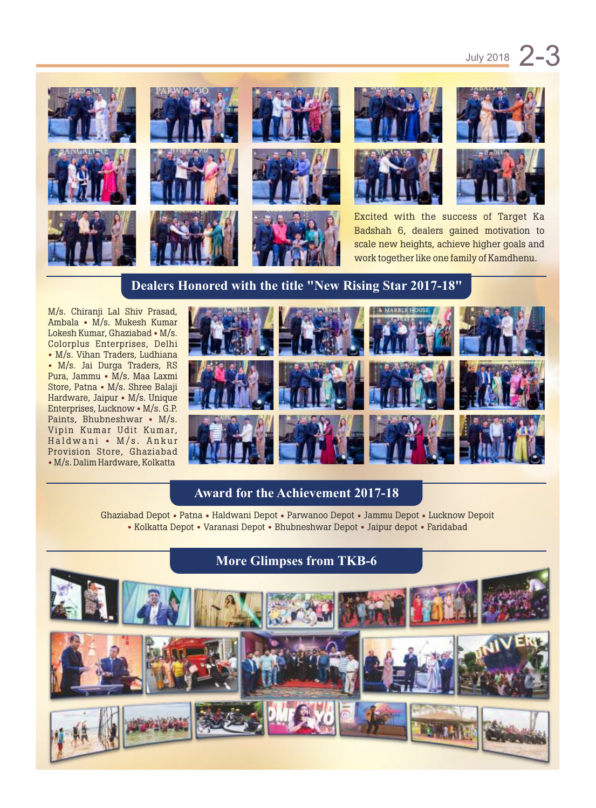

### **Dealers Honored with the title "New Rising Star 2017-18"**

M/s. Chiranji Lal Shiv Prasad, Ambala • M/s. Mukesh Kumar Lokesh Kumar, Ghaziabad • M/s. Colorplus Enterprises, Delhi • M/s. Vihan Traders, Ludhiana • M/s. Jai Durga Traders, RS Pura, Jammu • M/s. Maa Laxmi Store, Patna • M/s. Shree Balaji Hardware, Jaipur • M/s. Unique Enterprises, Lucknow • M/s. G.P. Paints, Bhubneshwar • M/s. Vipin Kumar Udit Kumar, Haldwani • M/s. Ankur Provision Store, Ghaziabad • M/s. Dalim Hardware, Kolkatta



#### **Award for the Achievement 2017-18**

Ghaziabad Depot • Patna • Haldwani Depot • Parwanoo Depot • Jammu Depot • Lucknow Depoit • Kolkatta Depot • Varanasi Depot • Bhubneshwar Depot • Jaipur depot • Faridabad